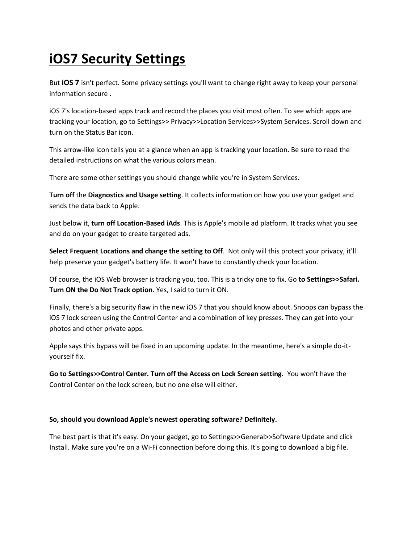## **iOS7 Security Settings**

But **iOS 7** isn't perfect. Some privacy settings you'll want to change right away to keep your personal information secure .

iOS 7's location-based apps track and record the places you visit most often. To see which apps are tracking your location, go to Settings>> Privacy>>Location Services>>System Services. Scroll down and turn on the Status Bar icon.

This arrow-like icon tells you at a glance when an app is tracking your location. Be sure to read the detailed instructions on what the various colors mean.

There are some other settings you should change while you're in System Services.

**Turn off** the **Diagnostics and Usage setting**. It collects information on how you use your gadget and sends the data back to Apple.

Just below it, **turn off Location-Based iAds**. This is Apple's mobile ad platform. It tracks what you see and do on your gadget to create targeted ads.

**Select Frequent Locations and change the setting to Off**. Not only will this protect your privacy, it'll help preserve your gadget's battery life. It won't have to constantly check your location.

Of course, the iOS Web browser is tracking you, too. This is a tricky one to fix. Go **to Settings>>Safari. Turn ON the Do Not Track option**. Yes, I said to turn it ON.

Finally, there's a big security flaw in the new iOS 7 that you should know about. Snoops can bypass the iOS 7 lock screen using the Control Center and a combination of key presses. They can get into your photos and other private apps.

Apple says this bypass will be fixed in an upcoming update. In the meantime, here's a simple do-ityourself fix.

**Go to Settings>>Control Center. Turn off the Access on Lock Screen setting.** You won't have the Control Center on the lock screen, but no one else will either.

## **So, should you download Apple's newest operating software? Definitely.**

The best part is that it's easy. On your gadget, go to Settings>>General>>Software Update and click Install. Make sure you're on a Wi-Fi connection before doing this. It's going to download a big file.